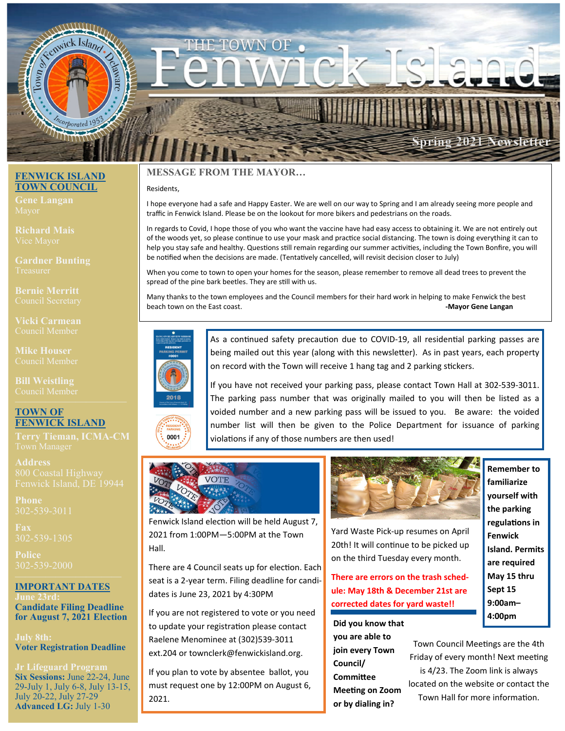

#### *FENDER ISLAND* **TOWN COUNCIL**

**Gene Langan** 

**Richard Mais** 

**Gardner Bunting** 

**Bernie Merritt** 

**Vicki Carmean** 

**Mike Houser** 

## **TOWN OF FENWICK ISLAND**

**Terry Tieman, ICMA-CM** 

**Address** 

**Phone** 

**Fax** 

**Police** 

# **IMPORTANT DATES**

**Candidate Filing Deadline for August 7, 2021 Election** 

**July 8th: Voter Registration Deadline** 

**Jr Lifeguard Program Six Sessions:** June 22-24, June 29-July 1, July 6-8, July 13-15, July 20-22, July 27-29 **Advanced LG:** July 1-30

## **MESSAGE FROM THE MAYOR…**

#### Residents,

I hope everyone had a safe and Happy Easter. We are well on our way to Spring and I am already seeing more people and traffic in Fenwick Island. Please be on the lookout for more bikers and pedestrians on the roads.

In regards to Covid, I hope those of you who want the vaccine have had easy access to obtaining it. We are not entirely out of the woods yet, so please continue to use your mask and practice social distancing. The town is doing everything it can to help you stay safe and healthy. Questions still remain regarding our summer activities, including the Town Bonfire, you will be notified when the decisions are made. (Tentatively cancelled, will revisit decision closer to July)

When you come to town to open your homes for the season, please remember to remove all dead trees to prevent the spread of the pine bark beetles. They are still with us.

Many thanks to the town employees and the Council members for their hard work in helping to make Fenwick the best beach town on the East coast. **‐Mayor Gene Langan**



0001

As a continued safety precaution due to COVID-19, all residential parking passes are being mailed out this year (along with this newsletter). As in past years, each property on record with the Town will receive 1 hang tag and 2 parking stickers.

If you have not received your parking pass, please contact Town Hall at 302‐539‐3011. The parking pass number that was originally mailed to you will then be listed as a voided number and a new parking pass will be issued to you. Be aware: the voided number list will then be given to the Police Department for issuance of parking violations if any of those numbers are then used!



Fenwick Island election will be held August 7, 2021 from 1:00PM—5:00PM at the Town Hall.

There are 4 Council seats up for election. Each seat is a 2‐year term. Filing deadline for candi‐ dates is June 23, 2021 by 4:30PM

If you are not registered to vote or you need to update your registration please contact Raelene Menominee at (302)539‐3011 ext.204 or townclerk@fenwickisland.org.

If you plan to vote by absentee ballot, you must request one by 12:00PM on August 6, 2021.



Yard Waste Pick‐up resumes on April 20th! It will continue to be picked up on the third Tuesday every month.

**There are errors on the trash sched‐ ule: May 18th & December 21st are corrected dates for yard waste!!** 

**Did you know that you are able to join every Town Council/ CommiƩee Meeting on Zoom or by dialing in?** 

**Remember to familiarize yourself with the parking regulaƟons in Fenwick Island. Permits are required May 15 thru Sept 15 9:00am– 4:00pm** 

Town Council Meetings are the 4th Friday of every month! Next meeting is 4/23. The Zoom link is always located on the website or contact the Town Hall for more information.